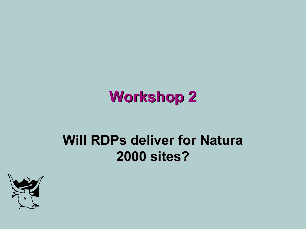# **Workshop 2**

#### **Will RDPs deliver for Natura 2000 sites?**

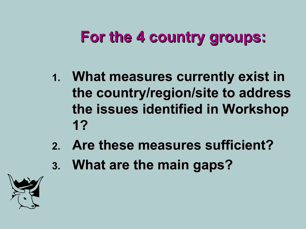- **1. What measures currently exist in the country/region/site to address the issues identified in Workshop 1?**
- **2. Are these measures sufficient?**
- **3. What are the main gaps?**

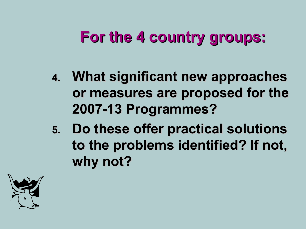- **4. What significant new approaches or measures are proposed for the 2007-13 Programmes?**
- **5. Do these offer practical solutions to the problems identified? If not, why not?**

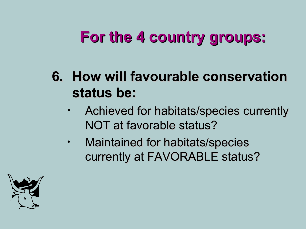- **6. How will favourable conservation status be:**
	- Achieved for habitats/species currently NOT at favorable status?
	- Maintained for habitats/species currently at FAVORABLE status?

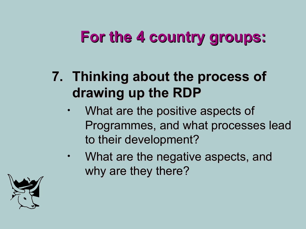- **7. Thinking about the process of drawing up the RDP**
	- What are the positive aspects of Programmes, and what processes lead to their development?
	- What are the negative aspects, and why are they there?

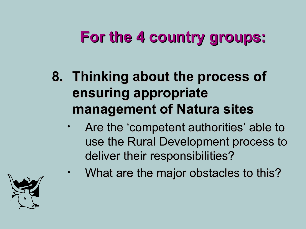- **8. Thinking about the process of ensuring appropriate management of Natura sites**
	- Are the 'competent authorities' able to use the Rural Development process to deliver their responsibilities?
		- What are the major obstacles to this?

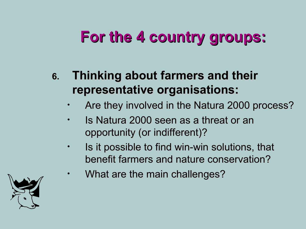#### **6. Thinking about farmers and their representative organisations:**

- Are they involved in the Natura 2000 process?
- Is Natura 2000 seen as a threat or an opportunity (or indifferent)?
- Is it possible to find win-win solutions, that benefit farmers and nature conservation?
- What are the main challenges?